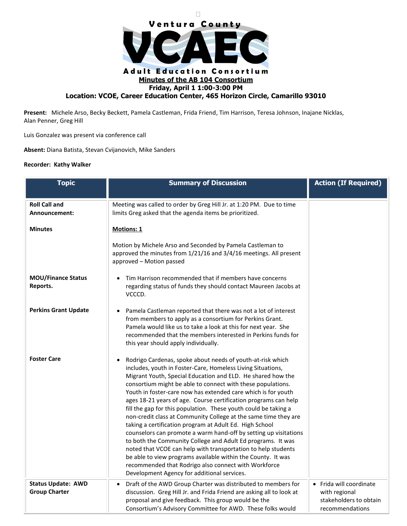

**Present:** Michele Arso, Becky Beckett, Pamela Castleman, Frida Friend, Tim Harrison, Teresa Johnson, Inajane Nicklas, Alan Penner, Greg Hill

Luis Gonzalez was present via conference call

**Absent:** Diana Batista, Stevan Cvijanovich, Mike Sanders

## **Recorder: Kathy Walker**

| <b>Topic</b>                                      | <b>Summary of Discussion</b>                                                                                                                                                                                                                                                                                                                                                                                                                                                                                                                                                                                                                                                                                                                                                                                                                                                                                                                                                 | <b>Action (If Required)</b>                                                           |
|---------------------------------------------------|------------------------------------------------------------------------------------------------------------------------------------------------------------------------------------------------------------------------------------------------------------------------------------------------------------------------------------------------------------------------------------------------------------------------------------------------------------------------------------------------------------------------------------------------------------------------------------------------------------------------------------------------------------------------------------------------------------------------------------------------------------------------------------------------------------------------------------------------------------------------------------------------------------------------------------------------------------------------------|---------------------------------------------------------------------------------------|
| <b>Roll Call and</b><br>Announcement:             | Meeting was called to order by Greg Hill Jr. at 1:20 PM. Due to time<br>limits Greg asked that the agenda items be prioritized.                                                                                                                                                                                                                                                                                                                                                                                                                                                                                                                                                                                                                                                                                                                                                                                                                                              |                                                                                       |
| <b>Minutes</b>                                    | Motions: 1                                                                                                                                                                                                                                                                                                                                                                                                                                                                                                                                                                                                                                                                                                                                                                                                                                                                                                                                                                   |                                                                                       |
|                                                   | Motion by Michele Arso and Seconded by Pamela Castleman to<br>approved the minutes from 1/21/16 and 3/4/16 meetings. All present<br>approved - Motion passed                                                                                                                                                                                                                                                                                                                                                                                                                                                                                                                                                                                                                                                                                                                                                                                                                 |                                                                                       |
| <b>MOU/Finance Status</b><br>Reports.             | Tim Harrison recommended that if members have concerns<br>regarding status of funds they should contact Maureen Jacobs at<br>VCCCD.                                                                                                                                                                                                                                                                                                                                                                                                                                                                                                                                                                                                                                                                                                                                                                                                                                          |                                                                                       |
| <b>Perkins Grant Update</b>                       | Pamela Castleman reported that there was not a lot of interest<br>from members to apply as a consortium for Perkins Grant.<br>Pamela would like us to take a look at this for next year. She<br>recommended that the members interested in Perkins funds for<br>this year should apply individually.                                                                                                                                                                                                                                                                                                                                                                                                                                                                                                                                                                                                                                                                         |                                                                                       |
| <b>Foster Care</b>                                | Rodrigo Cardenas, spoke about needs of youth-at-risk which<br>٠<br>includes, youth in Foster-Care, Homeless Living Situations,<br>Migrant Youth, Special Education and ELD. He shared how the<br>consortium might be able to connect with these populations.<br>Youth in foster-care now has extended care which is for youth<br>ages 18-21 years of age. Course certification programs can help<br>fill the gap for this population. These youth could be taking a<br>non-credit class at Community College at the same time they are<br>taking a certification program at Adult Ed. High School<br>counselors can promote a warm hand-off by setting up visitations<br>to both the Community College and Adult Ed programs. It was<br>noted that VCOE can help with transportation to help students<br>be able to view programs available within the County. It was<br>recommended that Rodrigo also connect with Workforce<br>Development Agency for additional services. |                                                                                       |
| <b>Status Update: AWD</b><br><b>Group Charter</b> | Draft of the AWD Group Charter was distributed to members for<br>discussion. Greg Hill Jr. and Frida Friend are asking all to look at<br>proposal and give feedback. This group would be the<br>Consortium's Advisory Committee for AWD. These folks would                                                                                                                                                                                                                                                                                                                                                                                                                                                                                                                                                                                                                                                                                                                   | • Frida will coordinate<br>with regional<br>stakeholders to obtain<br>recommendations |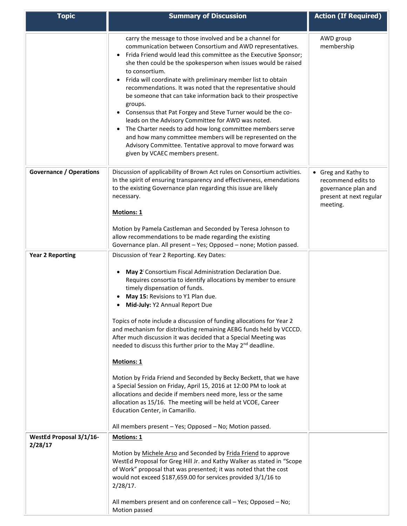| <b>Topic</b>                       | <b>Summary of Discussion</b>                                                                                                                                                                                                                                                                                                                                                                                                                                                                                                                                                                                                                                                                                                                                                                                                                                                                                                                                                                 | <b>Action (If Required)</b>                                                                             |
|------------------------------------|----------------------------------------------------------------------------------------------------------------------------------------------------------------------------------------------------------------------------------------------------------------------------------------------------------------------------------------------------------------------------------------------------------------------------------------------------------------------------------------------------------------------------------------------------------------------------------------------------------------------------------------------------------------------------------------------------------------------------------------------------------------------------------------------------------------------------------------------------------------------------------------------------------------------------------------------------------------------------------------------|---------------------------------------------------------------------------------------------------------|
|                                    | carry the message to those involved and be a channel for<br>communication between Consortium and AWD representatives.<br>Frida Friend would lead this committee as the Executive Sponsor;<br>$\bullet$<br>she then could be the spokesperson when issues would be raised<br>to consortium.<br>Frida will coordinate with preliminary member list to obtain<br>$\bullet$<br>recommendations. It was noted that the representative should<br>be someone that can take information back to their prospective<br>groups.<br>Consensus that Pat Forgey and Steve Turner would be the co-<br>leads on the Advisory Committee for AWD was noted.<br>The Charter needs to add how long committee members serve<br>and how many committee members will be represented on the<br>Advisory Committee. Tentative approval to move forward was<br>given by VCAEC members present.                                                                                                                         | AWD group<br>membership                                                                                 |
| <b>Governance / Operations</b>     | Discussion of applicability of Brown Act rules on Consortium activities.<br>In the spirit of ensuring transparency and effectiveness, emendations<br>to the existing Governance plan regarding this issue are likely<br>necessary.<br>Motions: 1<br>Motion by Pamela Castleman and Seconded by Teresa Johnson to                                                                                                                                                                                                                                                                                                                                                                                                                                                                                                                                                                                                                                                                             | • Greg and Kathy to<br>recommend edits to<br>governance plan and<br>present at next regular<br>meeting. |
|                                    | allow recommendations to be made regarding the existing<br>Governance plan. All present - Yes; Opposed - none; Motion passed.                                                                                                                                                                                                                                                                                                                                                                                                                                                                                                                                                                                                                                                                                                                                                                                                                                                                |                                                                                                         |
| <b>Year 2 Reporting</b>            | Discussion of Year 2 Reporting. Key Dates:<br>May 2 <sup>:</sup> Consortium Fiscal Administration Declaration Due.<br>Requires consortia to identify allocations by member to ensure<br>timely dispensation of funds.<br>May 15: Revisions to Y1 Plan due.<br>Mid-July: Y2 Annual Report Due<br>Topics of note include a discussion of funding allocations for Year 2<br>and mechanism for distributing remaining AEBG funds held by VCCCD.<br>After much discussion it was decided that a Special Meeting was<br>needed to discuss this further prior to the May 2 <sup>nd</sup> deadline.<br><b>Motions: 1</b><br>Motion by Frida Friend and Seconded by Becky Beckett, that we have<br>a Special Session on Friday, April 15, 2016 at 12:00 PM to look at<br>allocations and decide if members need more, less or the same<br>allocation as 15/16. The meeting will be held at VCOE, Career<br>Education Center, in Camarillo.<br>All members present - Yes; Opposed - No; Motion passed. |                                                                                                         |
| WestEd Proposal 3/1/16-<br>2/28/17 | <b>Motions: 1</b><br>Motion by Michele Arso and Seconded by Frida Friend to approve<br>WestEd Proposal for Greg Hill Jr. and Kathy Walker as stated in "Scope<br>of Work" proposal that was presented; it was noted that the cost<br>would not exceed \$187,659.00 for services provided 3/1/16 to<br>2/28/17.<br>All members present and on conference call - Yes; Opposed - No;<br>Motion passed                                                                                                                                                                                                                                                                                                                                                                                                                                                                                                                                                                                           |                                                                                                         |